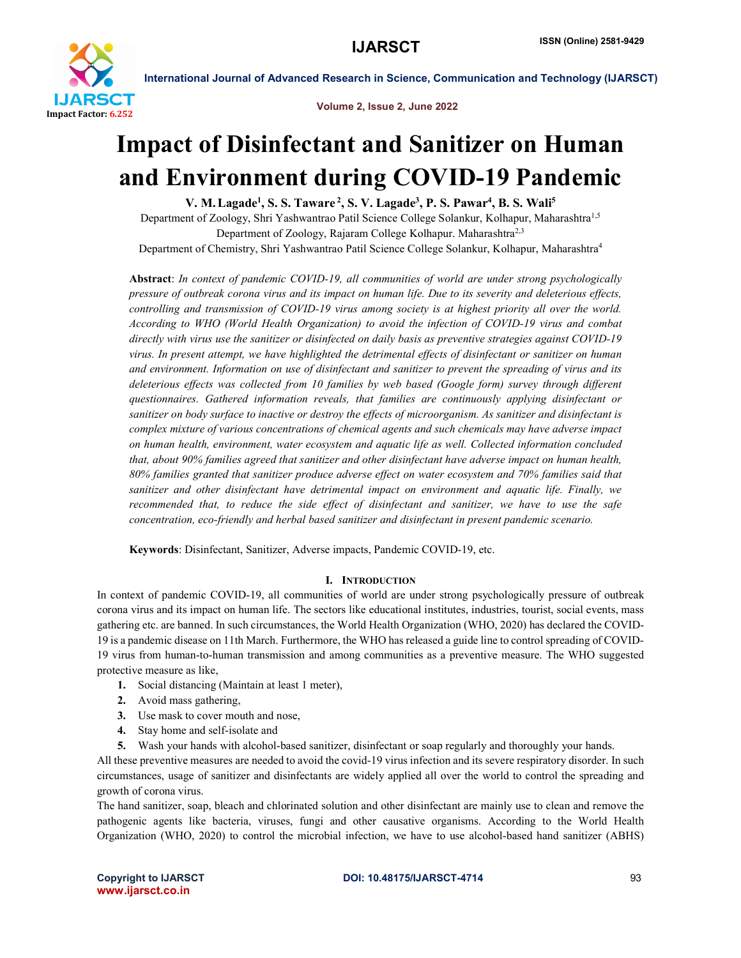

Volume 2, Issue 2, June 2022

## Impact of Disinfectant and Sanitizer on Human and Environment during COVID-19 Pandemic

V. M. Lagade<sup>1</sup>, S. S. Taware <sup>2</sup>, S. V. Lagade<sup>3</sup>, P. S. Pawar<sup>4</sup>, B. S. Wali<sup>5</sup>

Department of Zoology, Shri Yashwantrao Patil Science College Solankur, Kolhapur, Maharashtra1,5 Department of Zoology, Rajaram College Kolhapur. Maharashtra<sup>2,3</sup> Department of Chemistry, Shri Yashwantrao Patil Science College Solankur, Kolhapur, Maharashtra4

Abstract: *In context of pandemic COVID-19, all communities of world are under strong psychologically pressure of outbreak corona virus and its impact on human life. Due to its severity and deleterious effects, controlling and transmission of COVID-19 virus among society is at highest priority all over the world. According to WHO (World Health Organization) to avoid the infection of COVID-19 virus and combat directly with virus use the sanitizer or disinfected on daily basis as preventive strategies against COVID-19 virus. In present attempt, we have highlighted the detrimental effects of disinfectant or sanitizer on human and environment. Information on use of disinfectant and sanitizer to prevent the spreading of virus and its deleterious effects was collected from 10 families by web based (Google form) survey through different questionnaires. Gathered information reveals, that families are continuously applying disinfectant or sanitizer on body surface to inactive or destroy the effects of microorganism. As sanitizer and disinfectant is complex mixture of various concentrations of chemical agents and such chemicals may have adverse impact on human health, environment, water ecosystem and aquatic life as well. Collected information concluded that, about 90% families agreed that sanitizer and other disinfectant have adverse impact on human health, 80% families granted that sanitizer produce adverse effect on water ecosystem and 70% families said that sanitizer and other disinfectant have detrimental impact on environment and aquatic life. Finally, we recommended that, to reduce the side effect of disinfectant and sanitizer, we have to use the safe concentration, eco-friendly and herbal based sanitizer and disinfectant in present pandemic scenario.*

Keywords: Disinfectant, Sanitizer, Adverse impacts, Pandemic COVID-19, etc.

### I. INTRODUCTION

In context of pandemic COVID-19, all communities of world are under strong psychologically pressure of outbreak corona virus and its impact on human life. The sectors like educational institutes, industries, tourist, social events, mass gathering etc. are banned. In such circumstances, the World Health Organization (WHO, 2020) has declared the COVID-19 is a pandemic disease on 11th March. Furthermore, the WHO has released a guide line to control spreading of COVID-19 virus from human-to-human transmission and among communities as a preventive measure. The WHO suggested protective measure as like,

- 1. Social distancing (Maintain at least 1 meter),
- 2. Avoid mass gathering,
- 3. Use mask to cover mouth and nose,
- 4. Stay home and self-isolate and
- 5. Wash your hands with alcohol-based sanitizer, disinfectant or soap regularly and thoroughly your hands.

All these preventive measures are needed to avoid the covid-19 virus infection and its severe respiratory disorder. In such circumstances, usage of sanitizer and disinfectants are widely applied all over the world to control the spreading and growth of corona virus.

The hand sanitizer, soap, bleach and chlorinated solution and other disinfectant are mainly use to clean and remove the pathogenic agents like bacteria, viruses, fungi and other causative organisms. According to the World Health Organization (WHO, 2020) to control the microbial infection, we have to use alcohol-based hand sanitizer (ABHS)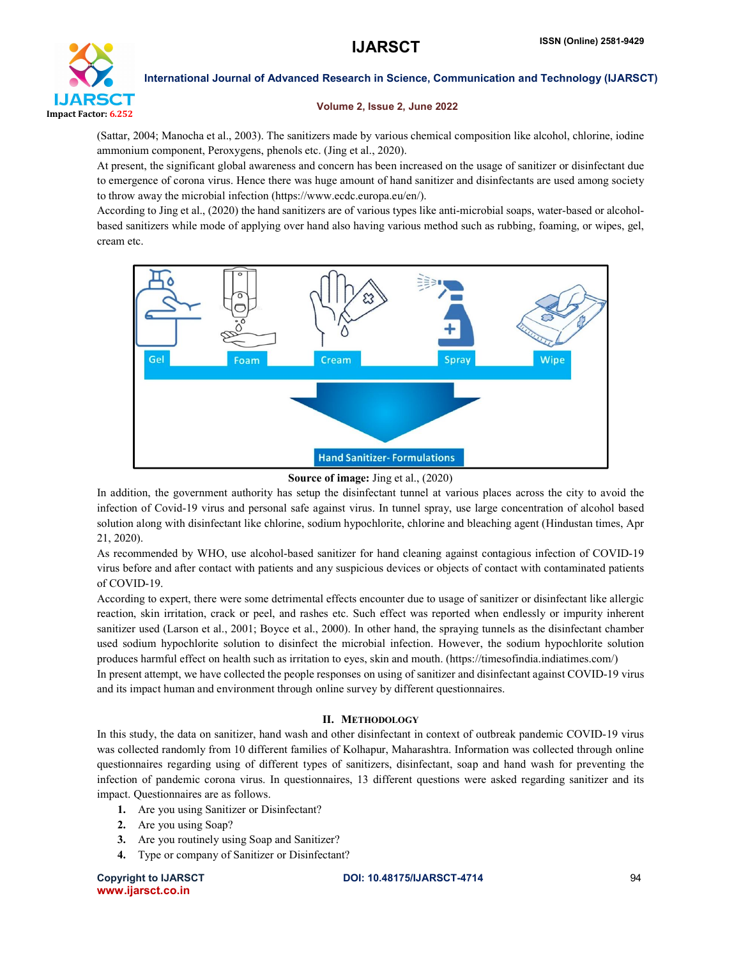

#### Volume 2, Issue 2, June 2022

(Sattar, 2004; Manocha et al., 2003). The sanitizers made by various chemical composition like alcohol, chlorine, iodine ammonium component, Peroxygens, phenols etc. (Jing et al., 2020).

At present, the significant global awareness and concern has been increased on the usage of sanitizer or disinfectant due to emergence of corona virus. Hence there was huge amount of hand sanitizer and disinfectants are used among society to throw away the microbial infection (https://www.ecdc.europa.eu/en/).

According to Jing et al., (2020) the hand sanitizers are of various types like anti-microbial soaps, water-based or alcoholbased sanitizers while mode of applying over hand also having various method such as rubbing, foaming, or wipes, gel, cream etc.



#### Source of image: Jing et al., (2020)

In addition, the government authority has setup the disinfectant tunnel at various places across the city to avoid the infection of Covid-19 virus and personal safe against virus. In tunnel spray, use large concentration of alcohol based solution along with disinfectant like chlorine, sodium hypochlorite, chlorine and bleaching agent (Hindustan times, Apr 21, 2020).

As recommended by WHO, use alcohol-based sanitizer for hand cleaning against contagious infection of COVID-19 virus before and after contact with patients and any suspicious devices or objects of contact with contaminated patients of COVID-19.

According to expert, there were some detrimental effects encounter due to usage of sanitizer or disinfectant like allergic reaction, skin irritation, crack or peel, and rashes etc. Such effect was reported when endlessly or impurity inherent sanitizer used (Larson et al., 2001; Boyce et al., 2000). In other hand, the spraying tunnels as the disinfectant chamber used sodium hypochlorite solution to disinfect the microbial infection. However, the sodium hypochlorite solution produces harmful effect on health such as irritation to eyes, skin and mouth. (https://timesofindia.indiatimes.com/)

In present attempt, we have collected the people responses on using of sanitizer and disinfectant against COVID-19 virus and its impact human and environment through online survey by different questionnaires.

### II. METHODOLOGY

In this study, the data on sanitizer, hand wash and other disinfectant in context of outbreak pandemic COVID-19 virus was collected randomly from 10 different families of Kolhapur, Maharashtra. Information was collected through online questionnaires regarding using of different types of sanitizers, disinfectant, soap and hand wash for preventing the infection of pandemic corona virus. In questionnaires, 13 different questions were asked regarding sanitizer and its impact. Questionnaires are as follows.

- 1. Are you using Sanitizer or Disinfectant?
- 2. Are you using Soap?
- 3. Are you routinely using Soap and Sanitizer?
- 4. Type or company of Sanitizer or Disinfectant?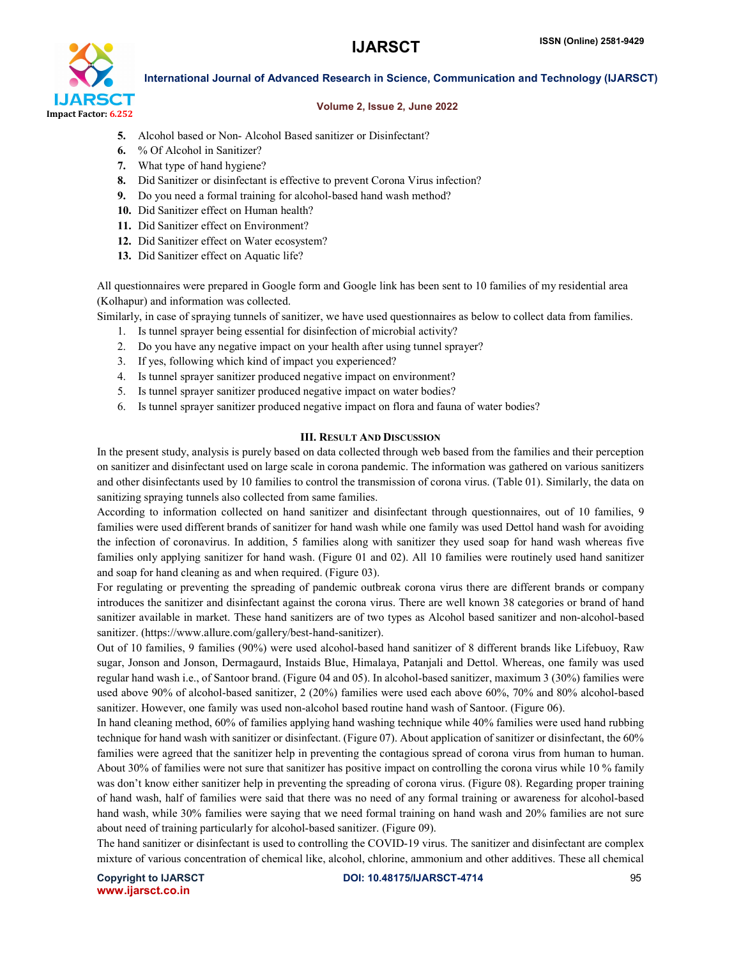

#### Volume 2, Issue 2, June 2022

- 5. Alcohol based or Non- Alcohol Based sanitizer or Disinfectant?
- 6. % Of Alcohol in Sanitizer?
- 7. What type of hand hygiene?
- 8. Did Sanitizer or disinfectant is effective to prevent Corona Virus infection?
- 9. Do you need a formal training for alcohol-based hand wash method?
- 10. Did Sanitizer effect on Human health?
- 11. Did Sanitizer effect on Environment?
- 12. Did Sanitizer effect on Water ecosystem?
- 13. Did Sanitizer effect on Aquatic life?

All questionnaires were prepared in Google form and Google link has been sent to 10 families of my residential area (Kolhapur) and information was collected.

Similarly, in case of spraying tunnels of sanitizer, we have used questionnaires as below to collect data from families. 1. Is tunnel sprayer being essential for disinfection of microbial activity?

- 2. Do you have any negative impact on your health after using tunnel sprayer?
- 3. If yes, following which kind of impact you experienced?
- 4. Is tunnel sprayer sanitizer produced negative impact on environment?
- 5. Is tunnel sprayer sanitizer produced negative impact on water bodies?
- 6. Is tunnel sprayer sanitizer produced negative impact on flora and fauna of water bodies?

#### III. RESULT AND DISCUSSION

In the present study, analysis is purely based on data collected through web based from the families and their perception on sanitizer and disinfectant used on large scale in corona pandemic. The information was gathered on various sanitizers and other disinfectants used by 10 families to control the transmission of corona virus. (Table 01). Similarly, the data on sanitizing spraying tunnels also collected from same families.

According to information collected on hand sanitizer and disinfectant through questionnaires, out of 10 families, 9 families were used different brands of sanitizer for hand wash while one family was used Dettol hand wash for avoiding the infection of coronavirus. In addition, 5 families along with sanitizer they used soap for hand wash whereas five families only applying sanitizer for hand wash. (Figure 01 and 02). All 10 families were routinely used hand sanitizer and soap for hand cleaning as and when required. (Figure 03).

For regulating or preventing the spreading of pandemic outbreak corona virus there are different brands or company introduces the sanitizer and disinfectant against the corona virus. There are well known 38 categories or brand of hand sanitizer available in market. These hand sanitizers are of two types as Alcohol based sanitizer and non-alcohol-based sanitizer. (https://www.allure.com/gallery/best-hand-sanitizer).

Out of 10 families, 9 families (90%) were used alcohol-based hand sanitizer of 8 different brands like Lifebuoy, Raw sugar, Jonson and Jonson, Dermagaurd, Instaids Blue, Himalaya, Patanjali and Dettol. Whereas, one family was used regular hand wash i.e., of Santoor brand. (Figure 04 and 05). In alcohol-based sanitizer, maximum 3 (30%) families were used above 90% of alcohol-based sanitizer, 2 (20%) families were used each above 60%, 70% and 80% alcohol-based sanitizer. However, one family was used non-alcohol based routine hand wash of Santoor. (Figure 06).

In hand cleaning method, 60% of families applying hand washing technique while 40% families were used hand rubbing technique for hand wash with sanitizer or disinfectant. (Figure 07). About application of sanitizer or disinfectant, the 60% families were agreed that the sanitizer help in preventing the contagious spread of corona virus from human to human. About 30% of families were not sure that sanitizer has positive impact on controlling the corona virus while 10 % family was don't know either sanitizer help in preventing the spreading of corona virus. (Figure 08). Regarding proper training of hand wash, half of families were said that there was no need of any formal training or awareness for alcohol-based hand wash, while 30% families were saying that we need formal training on hand wash and 20% families are not sure about need of training particularly for alcohol-based sanitizer. (Figure 09).

The hand sanitizer or disinfectant is used to controlling the COVID-19 virus. The sanitizer and disinfectant are complex mixture of various concentration of chemical like, alcohol, chlorine, ammonium and other additives. These all chemical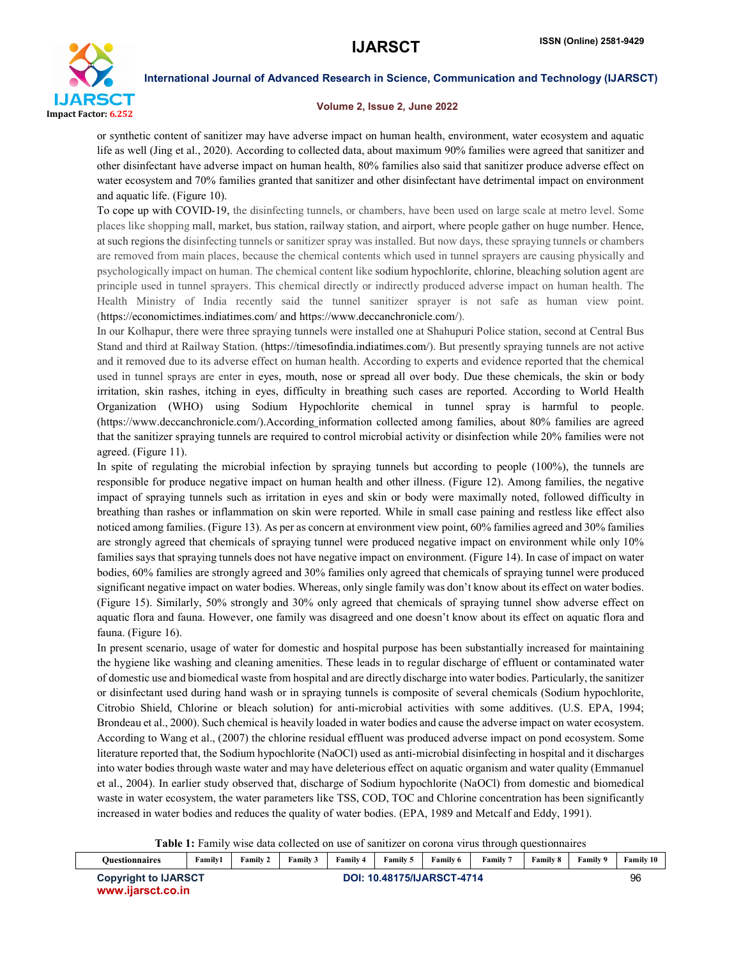

#### Volume 2, Issue 2, June 2022

or synthetic content of sanitizer may have adverse impact on human health, environment, water ecosystem and aquatic life as well (Jing et al., 2020). According to collected data, about maximum 90% families were agreed that sanitizer and other disinfectant have adverse impact on human health, 80% families also said that sanitizer produce adverse effect on water ecosystem and 70% families granted that sanitizer and other disinfectant have detrimental impact on environment and aquatic life. (Figure 10).

To cope up with COVID-19, the disinfecting tunnels, or chambers, have been used on large scale at metro level. Some places like shopping mall, market, bus station, railway station, and airport, where people gather on huge number. Hence, at such regions the disinfecting tunnels or sanitizer spray was installed. But now days, these spraying tunnels or chambers are removed from main places, because the chemical contents which used in tunnel sprayers are causing physically and psychologically impact on human. The chemical content like sodium hypochlorite, chlorine, bleaching solution agent are principle used in tunnel sprayers. This chemical directly or indirectly produced adverse impact on human health. The Health Ministry of India recently said the tunnel sanitizer sprayer is not safe as human view point. (https://economictimes.indiatimes.com/ and https://www.deccanchronicle.com/).

In our Kolhapur, there were three spraying tunnels were installed one at Shahupuri Police station, second at Central Bus Stand and third at Railway Station. (https://timesofindia.indiatimes.com/). But presently spraying tunnels are not active and it removed due to its adverse effect on human health. According to experts and evidence reported that the chemical used in tunnel sprays are enter in eyes, mouth, nose or spread all over body. Due these chemicals, the skin or body irritation, skin rashes, itching in eyes, difficulty in breathing such cases are reported. According to World Health Organization (WHO) using Sodium Hypochlorite chemical in tunnel spray is harmful to people. (https://www.deccanchronicle.com/).According information collected among families, about 80% families are agreed that the sanitizer spraying tunnels are required to control microbial activity or disinfection while 20% families were not agreed. (Figure 11).

In spite of regulating the microbial infection by spraying tunnels but according to people (100%), the tunnels are responsible for produce negative impact on human health and other illness. (Figure 12). Among families, the negative impact of spraying tunnels such as irritation in eyes and skin or body were maximally noted, followed difficulty in breathing than rashes or inflammation on skin were reported. While in small case paining and restless like effect also noticed among families. (Figure 13). As per as concern at environment view point, 60% families agreed and 30% families are strongly agreed that chemicals of spraying tunnel were produced negative impact on environment while only 10% families says that spraying tunnels does not have negative impact on environment. (Figure 14). In case of impact on water bodies, 60% families are strongly agreed and 30% families only agreed that chemicals of spraying tunnel were produced significant negative impact on water bodies. Whereas, only single family was don't know about its effect on water bodies. (Figure 15). Similarly, 50% strongly and 30% only agreed that chemicals of spraying tunnel show adverse effect on aquatic flora and fauna. However, one family was disagreed and one doesn't know about its effect on aquatic flora and fauna. (Figure 16).

In present scenario, usage of water for domestic and hospital purpose has been substantially increased for maintaining the hygiene like washing and cleaning amenities. These leads in to regular discharge of effluent or contaminated water of domestic use and biomedical waste from hospital and are directly discharge into water bodies. Particularly, the sanitizer or disinfectant used during hand wash or in spraying tunnels is composite of several chemicals (Sodium hypochlorite, Citrobio Shield, Chlorine or bleach solution) for anti-microbial activities with some additives. (U.S. EPA, 1994; Brondeau et al., 2000). Such chemical is heavily loaded in water bodies and cause the adverse impact on water ecosystem. According to Wang et al., (2007) the chlorine residual effluent was produced adverse impact on pond ecosystem. Some literature reported that, the Sodium hypochlorite (NaOCl) used as anti-microbial disinfecting in hospital and it discharges into water bodies through waste water and may have deleterious effect on aquatic organism and water quality (Emmanuel et al., 2004). In earlier study observed that, discharge of Sodium hypochlorite (NaOCl) from domestic and biomedical waste in water ecosystem, the water parameters like TSS, COD, TOC and Chlorine concentration has been significantly increased in water bodies and reduces the quality of water bodies. (EPA, 1989 and Metcalf and Eddy, 1991).

Table 1: Family wise data collected on use of sanitizer on corona virus through questionnaires

| <b>Ouestionnaires</b>       | Family1                    | <b>Family 2</b> | Family 3 | Family 4 | Family 5 | Family 6 | Family 7 | <b>Family 8</b> | Family 9 | <b>Family 10</b> |
|-----------------------------|----------------------------|-----------------|----------|----------|----------|----------|----------|-----------------|----------|------------------|
| <b>Copyright to IJARSCT</b> | DOI: 10.48175/IJARSCT-4714 |                 |          |          |          |          |          | 96              |          |                  |
| www.iiarsct.co.in           |                            |                 |          |          |          |          |          |                 |          |                  |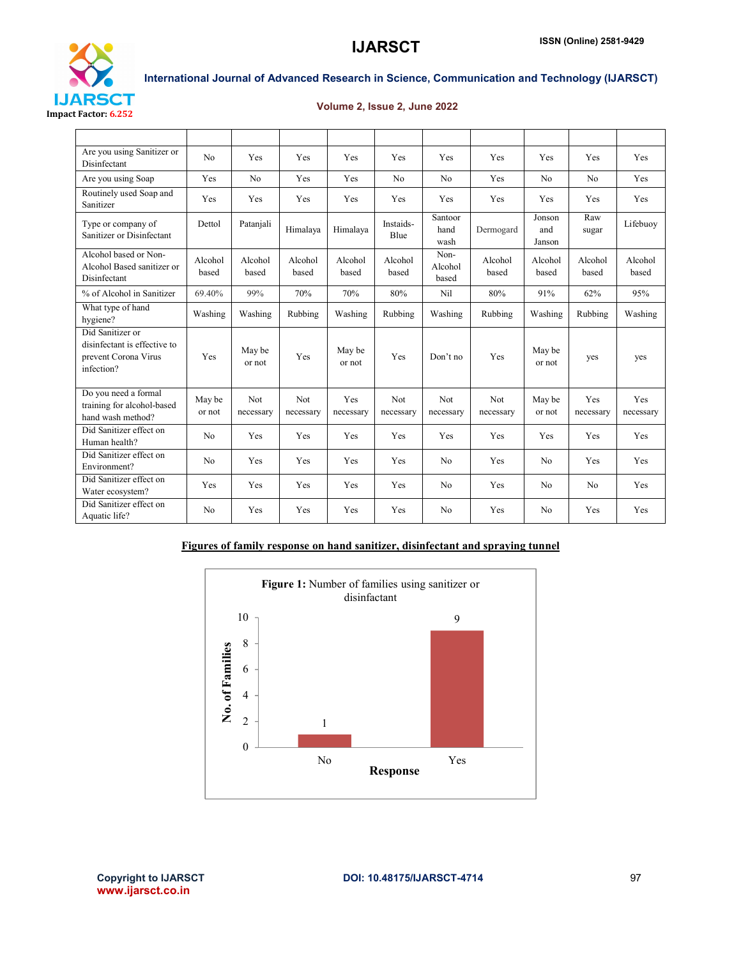

### Volume 2, Issue 2, June 2022

| Are you using Sanitizer or<br>Disinfectant                                             | No               | <b>Yes</b>              | <b>Yes</b>       | Yes              | Yes                     | Yes                      | Yes              | <b>Yes</b>              | Yes              | Yes              |
|----------------------------------------------------------------------------------------|------------------|-------------------------|------------------|------------------|-------------------------|--------------------------|------------------|-------------------------|------------------|------------------|
| Are you using Soap                                                                     | Yes              | N <sub>0</sub>          | Yes              | Yes              | No                      | N <sub>0</sub>           | Yes              | N <sub>0</sub>          | N <sub>0</sub>   | Yes              |
| Routinely used Soap and<br>Sanitizer                                                   | Yes              | Yes                     | Yes              | Yes              | Yes                     | Yes                      | Yes              | Yes                     | Yes              | Yes              |
| Type or company of<br>Sanitizer or Disinfectant                                        | Dettol           | Patanjali               | Himalaya         | Himalaya         | Instaids-<br>Blue       | Santoor<br>hand<br>wash  | Dermogard        | Jonson<br>and<br>Janson | Raw<br>sugar     | Lifebuoy         |
| Alcohol based or Non-<br>Alcohol Based sanitizer or<br>Disinfectant                    | Alcohol<br>based | Alcohol<br>based        | Alcohol<br>based | Alcohol<br>based | Alcohol<br>based        | Non-<br>Alcohol<br>based | Alcohol<br>based | Alcohol<br>based        | Alcohol<br>based | Alcohol<br>based |
| % of Alcohol in Sanitizer                                                              | 69.40%           | 99%                     | 70%              | 70%              | 80%                     | Nil                      | 80%              | 91%                     | 62%              | 95%              |
| What type of hand<br>hygiene?                                                          | Washing          | Washing                 | Rubbing          | Washing          | Rubbing                 | Washing                  | Rubbing          | Washing                 | Rubbing          | Washing          |
| Did Sanitizer or<br>disinfectant is effective to<br>prevent Corona Virus<br>infection? | Yes              | May be<br>or not        | Yes              | May be<br>or not | Yes                     | Don't no                 | Yes              | May be<br>or not        | yes              | yes              |
| Do you need a formal<br>training for alcohol-based<br>hand wash method?                | May be<br>or not | <b>Not</b><br>necessary | Not<br>necessary | Yes<br>necessary | <b>Not</b><br>necessary | <b>Not</b><br>necessary  | Not<br>necessary | May be<br>or not        | Yes<br>necessary | Yes<br>necessary |
| Did Sanitizer effect on<br>Human health?                                               | N <sub>o</sub>   | Yes                     | Yes              | Yes              | Yes                     | Yes                      | Yes              | Yes                     | Yes              | Yes              |
| Did Sanitizer effect on<br>Environment?                                                | N <sub>o</sub>   | Yes                     | Yes              | Yes              | Yes                     | N <sub>0</sub>           | Yes              | N <sub>o</sub>          | Yes              | Yes              |
| Did Sanitizer effect on<br>Water ecosystem?                                            | Yes              | Yes                     | Yes              | Yes              | Yes                     | No                       | Yes              | N <sub>0</sub>          | N <sub>0</sub>   | Yes              |
| Did Sanitizer effect on<br>Aquatic life?                                               | N <sub>0</sub>   | Yes                     | Yes              | Yes              | Yes                     | N <sub>0</sub>           | Yes              | N <sub>0</sub>          | Yes              | Yes              |

### Figures of family response on hand sanitizer, disinfectant and spraying tunnel

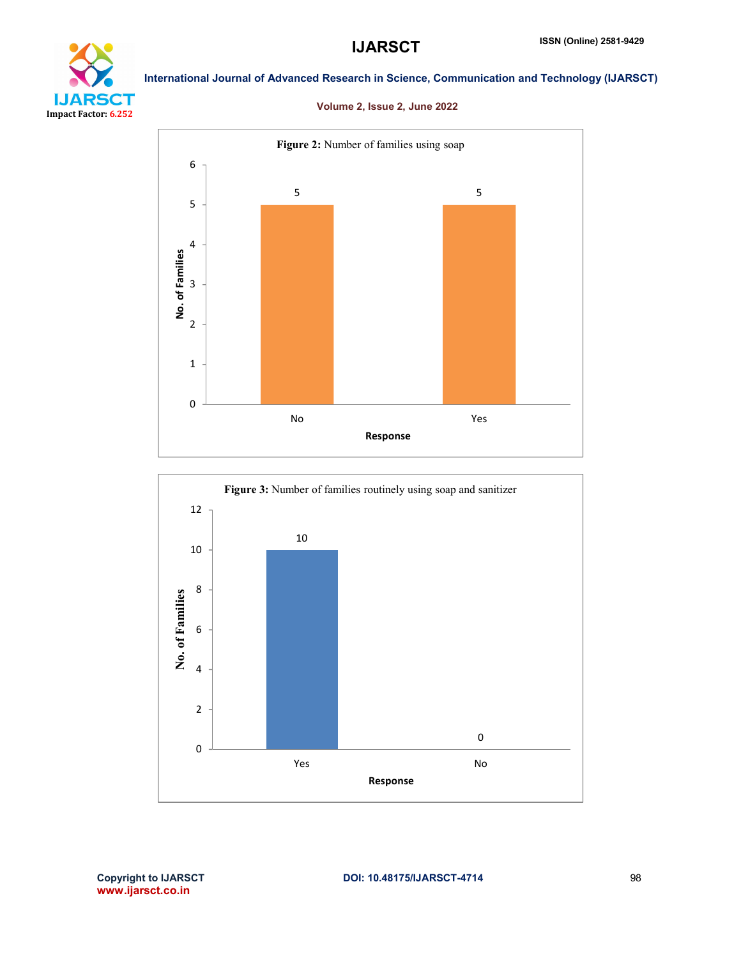

### Volume 2, Issue 2, June 2022



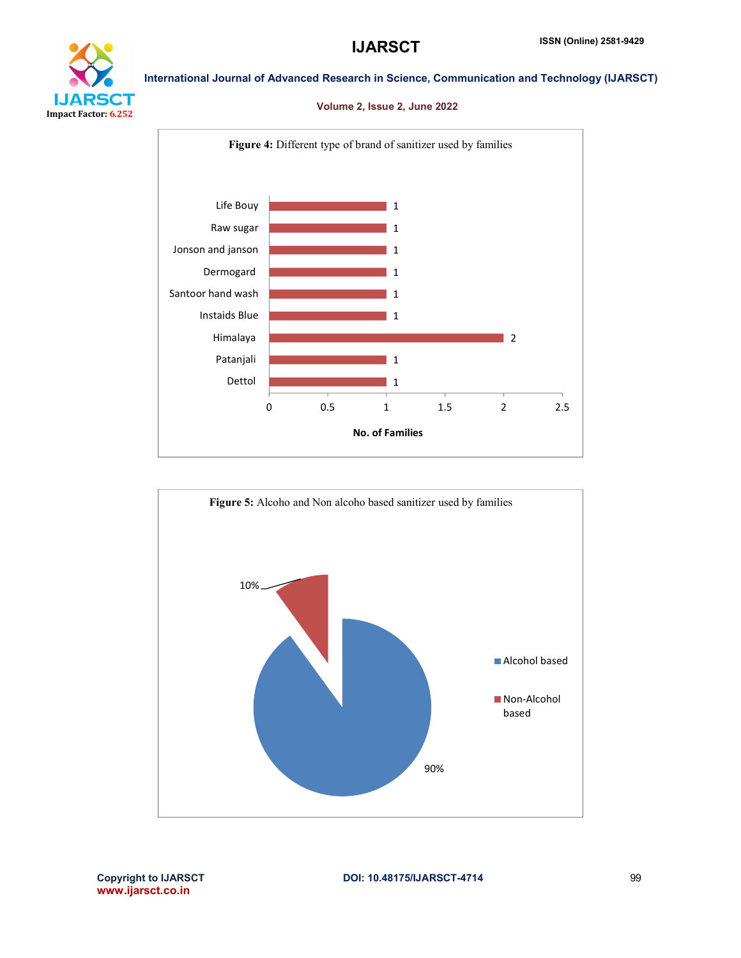

# DП Impact Factor: 6.252

International Journal of Advanced Research in Science, Communication and Technology (IJARSCT)

### Volume 2, Issue 2, June 2022



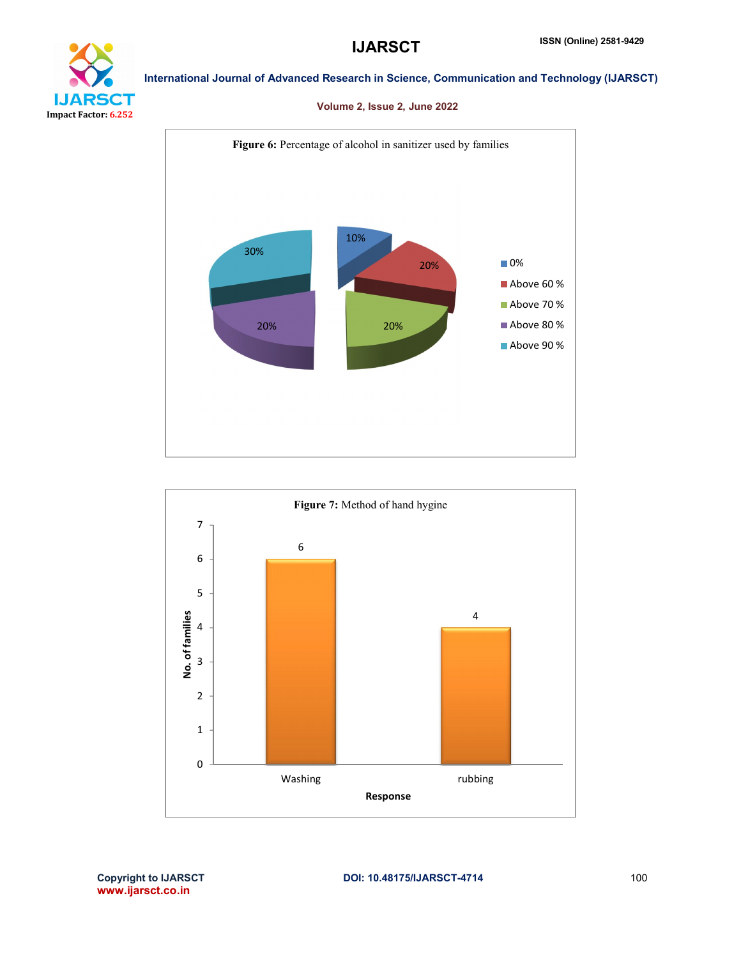

### Volume 2, Issue 2, June 2022



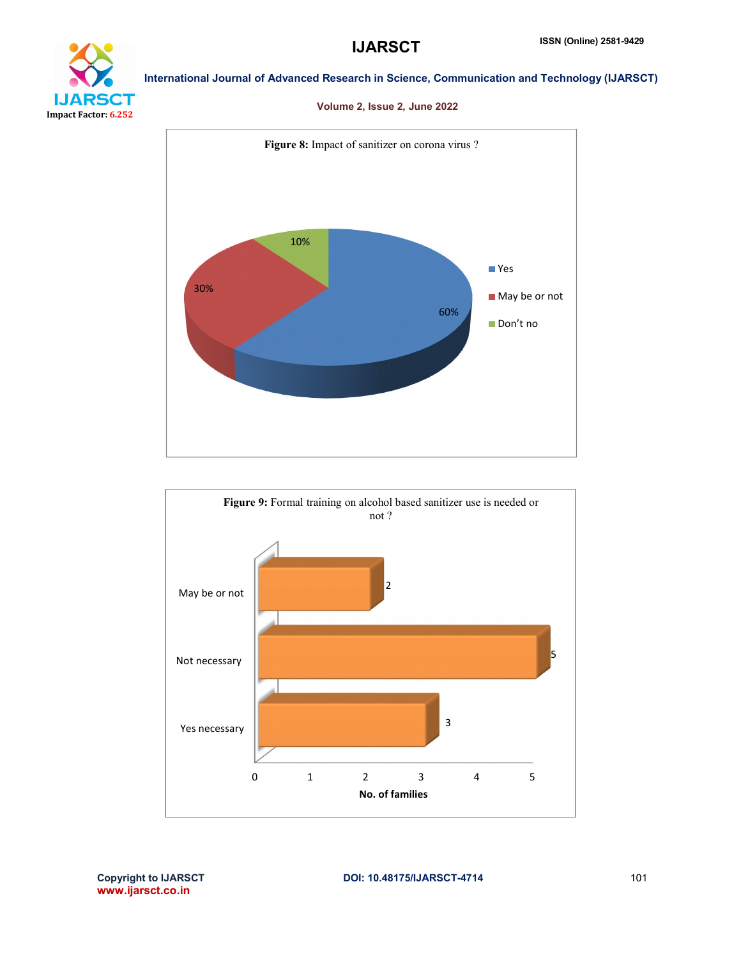

### Volume 2, Issue 2, June 2022



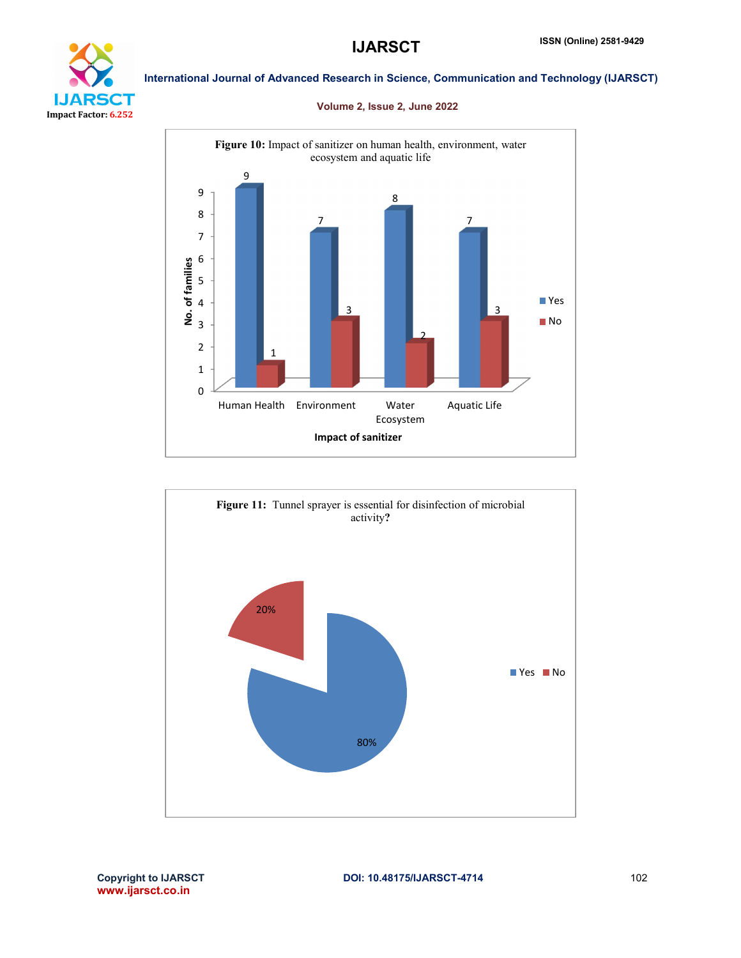

### Volume 2, Issue 2, June 2022



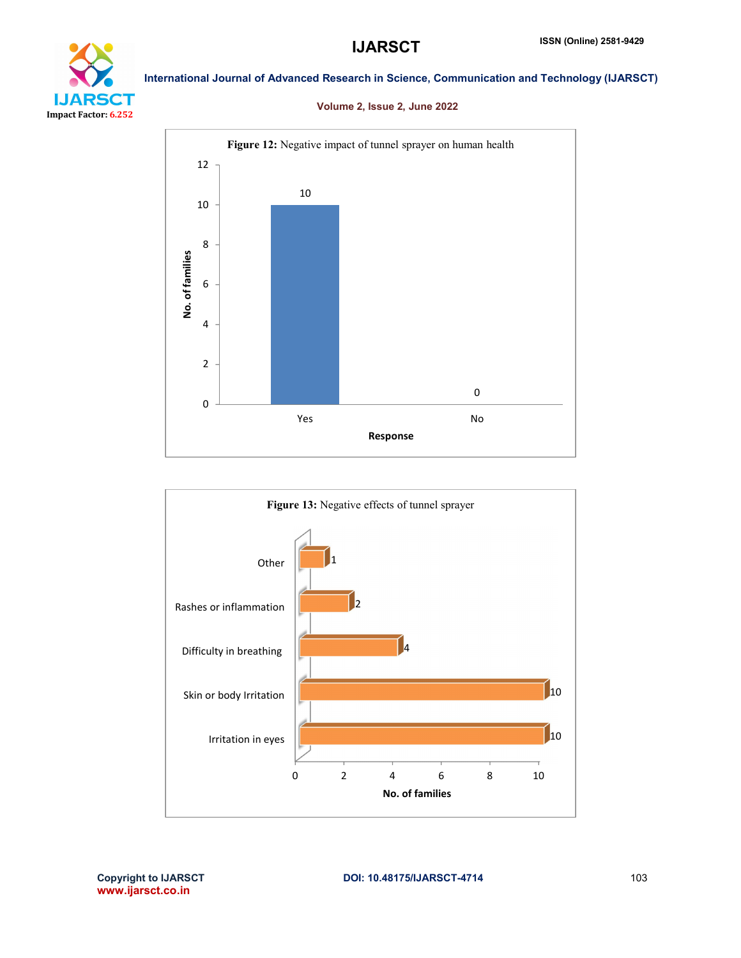

### Volume 2, Issue 2, June 2022



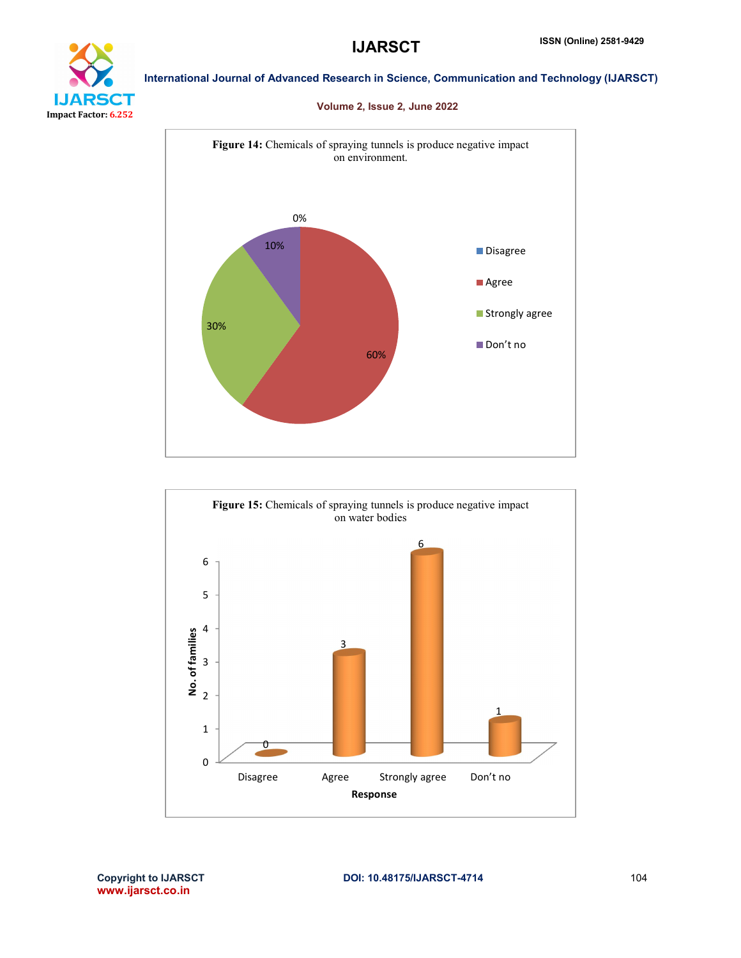

### Volume 2, Issue 2, June 2022



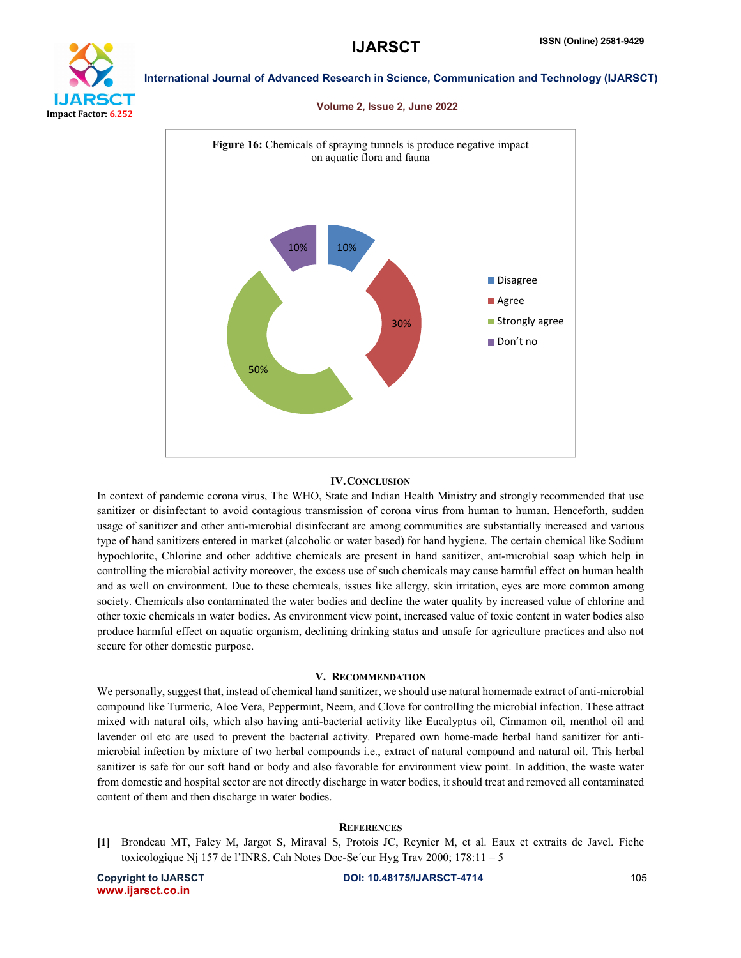

#### Volume 2, Issue 2, June 2022



#### IV.CONCLUSION

In context of pandemic corona virus, The WHO, State and Indian Health Ministry and strongly recommended that use sanitizer or disinfectant to avoid contagious transmission of corona virus from human to human. Henceforth, sudden usage of sanitizer and other anti-microbial disinfectant are among communities are substantially increased and various type of hand sanitizers entered in market (alcoholic or water based) for hand hygiene. The certain chemical like Sodium hypochlorite, Chlorine and other additive chemicals are present in hand sanitizer, ant-microbial soap which help in controlling the microbial activity moreover, the excess use of such chemicals may cause harmful effect on human health and as well on environment. Due to these chemicals, issues like allergy, skin irritation, eyes are more common among society. Chemicals also contaminated the water bodies and decline the water quality by increased value of chlorine and other toxic chemicals in water bodies. As environment view point, increased value of toxic content in water bodies also produce harmful effect on aquatic organism, declining drinking status and unsafe for agriculture practices and also not secure for other domestic purpose.

#### V. RECOMMENDATION

We personally, suggest that, instead of chemical hand sanitizer, we should use natural homemade extract of anti-microbial compound like Turmeric, Aloe Vera, Peppermint, Neem, and Clove for controlling the microbial infection. These attract mixed with natural oils, which also having anti-bacterial activity like Eucalyptus oil, Cinnamon oil, menthol oil and lavender oil etc are used to prevent the bacterial activity. Prepared own home-made herbal hand sanitizer for antimicrobial infection by mixture of two herbal compounds i.e., extract of natural compound and natural oil. This herbal sanitizer is safe for our soft hand or body and also favorable for environment view point. In addition, the waste water from domestic and hospital sector are not directly discharge in water bodies, it should treat and removed all contaminated content of them and then discharge in water bodies.

#### **REFERENCES**

[1] Brondeau MT, Falcy M, Jargot S, Miraval S, Protois JC, Reynier M, et al. Eaux et extraits de Javel. Fiche toxicologique Nj 157 de l'INRS. Cah Notes Doc-Se´cur Hyg Trav 2000; 178:11 – 5